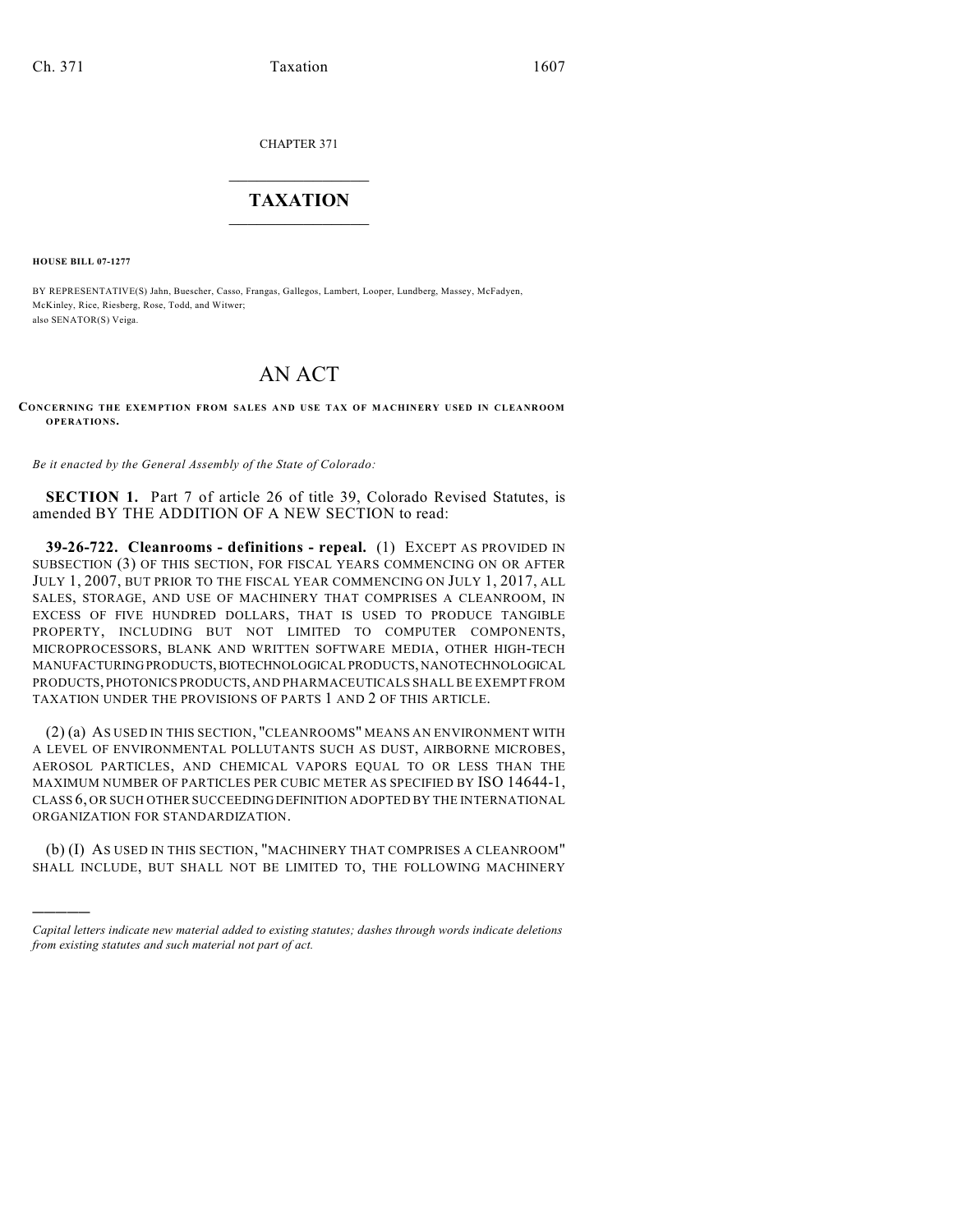CHAPTER 371

## $\overline{\phantom{a}}$  . The set of the set of the set of the set of the set of the set of the set of the set of the set of the set of the set of the set of the set of the set of the set of the set of the set of the set of the set o **TAXATION**  $\_$

**HOUSE BILL 07-1277**

)))))

BY REPRESENTATIVE(S) Jahn, Buescher, Casso, Frangas, Gallegos, Lambert, Looper, Lundberg, Massey, McFadyen, McKinley, Rice, Riesberg, Rose, Todd, and Witwer; also SENATOR(S) Veiga.

## AN ACT

**CONCERNING THE EXEMPTION FROM SALES AND USE TAX OF MACHINERY USED IN CLEANROOM OPERATIONS.**

*Be it enacted by the General Assembly of the State of Colorado:*

**SECTION 1.** Part 7 of article 26 of title 39, Colorado Revised Statutes, is amended BY THE ADDITION OF A NEW SECTION to read:

**39-26-722. Cleanrooms - definitions - repeal.** (1) EXCEPT AS PROVIDED IN SUBSECTION (3) OF THIS SECTION, FOR FISCAL YEARS COMMENCING ON OR AFTER JULY 1, 2007, BUT PRIOR TO THE FISCAL YEAR COMMENCING ON JULY 1, 2017, ALL SALES, STORAGE, AND USE OF MACHINERY THAT COMPRISES A CLEANROOM, IN EXCESS OF FIVE HUNDRED DOLLARS, THAT IS USED TO PRODUCE TANGIBLE PROPERTY, INCLUDING BUT NOT LIMITED TO COMPUTER COMPONENTS, MICROPROCESSORS, BLANK AND WRITTEN SOFTWARE MEDIA, OTHER HIGH-TECH MANUFACTURING PRODUCTS, BIOTECHNOLOGICAL PRODUCTS, NANOTECHNOLOGICAL PRODUCTS, PHOTONICS PRODUCTS, AND PHARMACEUTICALS SHALL BE EXEMPT FROM TAXATION UNDER THE PROVISIONS OF PARTS 1 AND 2 OF THIS ARTICLE.

(2) (a) AS USED IN THIS SECTION, "CLEANROOMS" MEANS AN ENVIRONMENT WITH A LEVEL OF ENVIRONMENTAL POLLUTANTS SUCH AS DUST, AIRBORNE MICROBES, AEROSOL PARTICLES, AND CHEMICAL VAPORS EQUAL TO OR LESS THAN THE MAXIMUM NUMBER OF PARTICLES PER CUBIC METER AS SPECIFIED BY ISO 14644-1, CLASS 6, OR SUCH OTHER SUCCEEDING DEFINITION ADOPTED BY THE INTERNATIONAL ORGANIZATION FOR STANDARDIZATION.

(b) (I) AS USED IN THIS SECTION, "MACHINERY THAT COMPRISES A CLEANROOM" SHALL INCLUDE, BUT SHALL NOT BE LIMITED TO, THE FOLLOWING MACHINERY

*Capital letters indicate new material added to existing statutes; dashes through words indicate deletions from existing statutes and such material not part of act.*